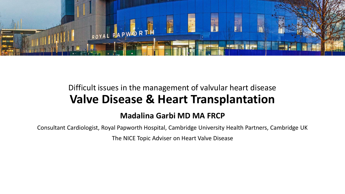

## Difficult issues in the management of valvular heart disease **Valve Disease & Heart Transplantation**

#### **Madalina Garbi MD MA FRCP**

Consultant Cardiologist, Royal Papworth Hospital, Cambridge University Health Partners, Cambridge UK

The NICE Topic Adviser on Heart Valve Disease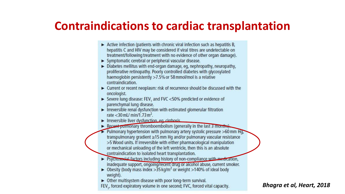# **Contraindications to cardiac transplantation**

- $\triangleright$  Active infection (patients with chronic viral infection such as hepatitis B, hepatitis C and HIV may be considered if viral titres are undetectable on treatment/following treatment with no evidence of other organ damage).
- > Symptomatic cerebral or peripheral vascular disease.
- $\triangleright$  Diabetes mellitus with end-organ damage, eq, nephropathy, neuropathy, proliferative retinopathy. Poorly controlled diabetes with glycosylated haemoglobin persistently >7.5% or 58 mmol/mol is a relative contraindication.
- ► Current or recent neoplasm: risk of recurrence should be discussed with the oncologist.
- Severe lung disease: FEV, and FVC <50% predicted or evidence of parenchymal lung disease.
- Irreversible renal dysfunction with estimated glomerular filtration rate  $<$ 30 mL/ min/1.73 m<sup>2</sup>.
- Irreversible liver dysfunction eq. cirrhosis
- Recont pullinonary thromboembolism (generally in the last 3 months)
- Pulmonary hypertension with pulmonary artery systolic pressure  $>60$  mm Hq. transpulmonary gradient ≥15 mm Hg and/or pulmonary vascular resistance >5 Wood units. If irreversible with either pharmacological manipulation or mechanical unloading of the left ventricle, then this is an absolute contraindication to isolated heart transplantation.
- ▶ Psychosocial factors including history of non-compliance with medication, inadequate support, ongoing/recent drug or alcohol abuse, current smoker.
- ► Obesity (body mass index > 35 kg/m<sup>2</sup> or weight > 140% of ideal body weight).
- > Other multisystem disease with poor long-term survival.

FEV, forced expiratory volume in one second; FVC, forced vital capacity.

*Bhagra et al, Heart, 2018*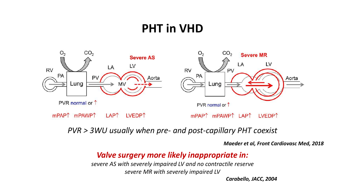# **PHT in VHD**



*PVR > 3WU usually when pre- and post-capillary PHT coexist*

*Maeder et al, Front Cardiovasc Med, 2018*

#### *Valve surgery more likely inappropriate in:*

*severe AS with severely impaired LV and no contractile reserve severe MR with severely impaired LV*

*Carabello, JACC, 2004*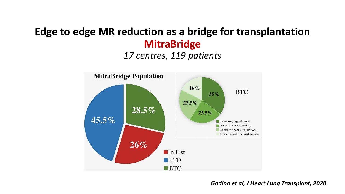## **Edge to edge MR reduction as a bridge for transplantation MitraBridge**

#### *17 centres, 119 patients*



#### *Godino et al, J Heart Lung Transplant, 2020*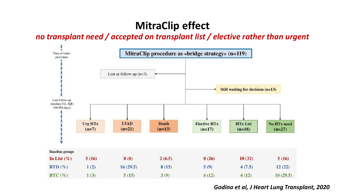## **MitraClip effect**

#### *no transplant need / accepted on transplant list / elective rather than urgent*



#### *Godino et al, J Heart Lung Transplant, 2020*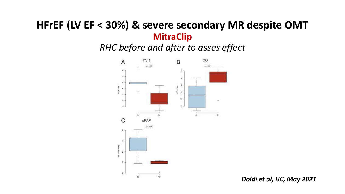### **HFrEF (LV EF < 30%) & severe secondary MR despite OMT MitraClip**

*RHC before and after to asses effect*



*Doldi et al, IJC, May 2021*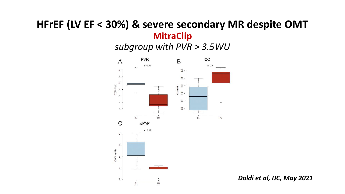### **HFrEF (LV EF < 30%) & severe secondary MR despite OMT MitraClip**

*subgroup with PVR > 3.5WU*



*Doldi et al, IJC, May 2021*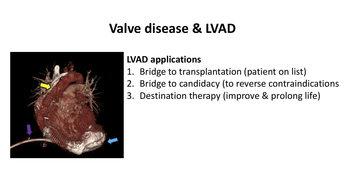# **Valve disease & LVAD**



### **LVAD applications**

- 1. Bridge to transplantation (patient on list)
- 2. Bridge to candidacy (to reverse contraindications
- 3. Destination therapy (improve & prolong life)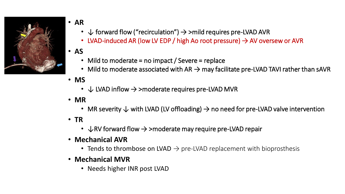

- **AR**
	- $\downarrow$  forward flow ("recirculation")  $\rightarrow$  >mild requires pre-LVAD AVR
	- LVAD-induced AR (low LV EDP / high Ao root pressure)  $\rightarrow$  AV oversew or AVR
- **AS**
	- Mild to moderate = no impact / Severe = replace
	- Mild to moderate associated with AR  $\rightarrow$  may facilitate pre-LVAD TAVI rather than sAVR
- **MS**
	- $\downarrow$  LVAD inflow  $\rightarrow$  >moderate requires pre-LVAD MVR
- **MR**
	- MR severity  $\downarrow$  with LVAD (LV offloading)  $\rightarrow$  no need for pre-LVAD valve intervention
- **TR**
	- $\downarrow$  RV forward flow  $\rightarrow$  >moderate may require pre-LVAD repair
- **Mechanical AVR**
	- Tends to thrombose on LVAD  $\rightarrow$  pre-LVAD replacement with bioprosthesis
- **Mechanical MVR**
	- Needs higher INR post LVAD